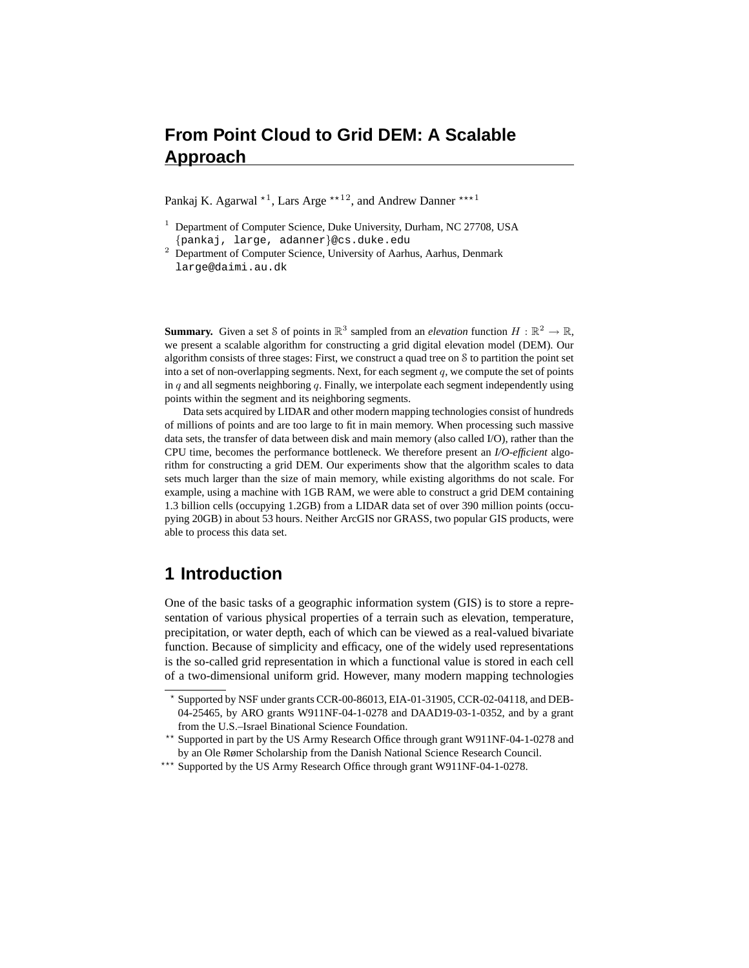# **From Point Cloud to Grid DEM: A Scalable Approach**

Pankaj K. Agarwal  $\star$ <sup>1</sup>, Lars Arge  $\star \star$ <sup>12</sup>, and Andrew Danner  $\star \star \star$ <sup>1</sup>

- $1$  Department of Computer Science, Duke University, Durham, NC 27708, USA {pankaj, large, adanner}@cs.duke.edu
- <sup>2</sup> Department of Computer Science, University of Aarhus, Aarhus, Denmark large@daimi.au.dk

**Summary.** Given a set S of points in  $\mathbb{R}^3$  sampled from an *elevation* function  $H : \mathbb{R}^2 \to \mathbb{R}$ , we present a scalable algorithm for constructing a grid digital elevation model (DEM). Our algorithm consists of three stages: First, we construct a quad tree on S to partition the point set into a set of non-overlapping segments. Next, for each segment  $q$ , we compute the set of points in  $q$  and all segments neighboring  $q$ . Finally, we interpolate each segment independently using points within the segment and its neighboring segments.

Data sets acquired by LIDAR and other modern mapping technologies consist of hundreds of millions of points and are too large to fit in main memory. When processing such massive data sets, the transfer of data between disk and main memory (also called I/O), rather than the CPU time, becomes the performance bottleneck. We therefore present an *I/O-efficient* algorithm for constructing a grid DEM. Our experiments show that the algorithm scales to data sets much larger than the size of main memory, while existing algorithms do not scale. For example, using a machine with 1GB RAM, we were able to construct a grid DEM containing 1.3 billion cells (occupying 1.2GB) from a LIDAR data set of over 390 million points (occupying 20GB) in about 53 hours. Neither ArcGIS nor GRASS, two popular GIS products, were able to process this data set.

### **1 Introduction**

One of the basic tasks of a geographic information system (GIS) is to store a representation of various physical properties of a terrain such as elevation, temperature, precipitation, or water depth, each of which can be viewed as a real-valued bivariate function. Because of simplicity and efficacy, one of the widely used representations is the so-called grid representation in which a functional value is stored in each cell of a two-dimensional uniform grid. However, many modern mapping technologies

<sup>?</sup> Supported by NSF under grants CCR-00-86013, EIA-01-31905, CCR-02-04118, and DEB-04-25465, by ARO grants W911NF-04-1-0278 and DAAD19-03-1-0352, and by a grant from the U.S.–Israel Binational Science Foundation.

<sup>\*\*</sup> Supported in part by the US Army Research Office through grant W911NF-04-1-0278 and by an Ole Rømer Scholarship from the Danish National Science Research Council.

<sup>\*\*\*</sup> Supported by the US Army Research Office through grant W911NF-04-1-0278.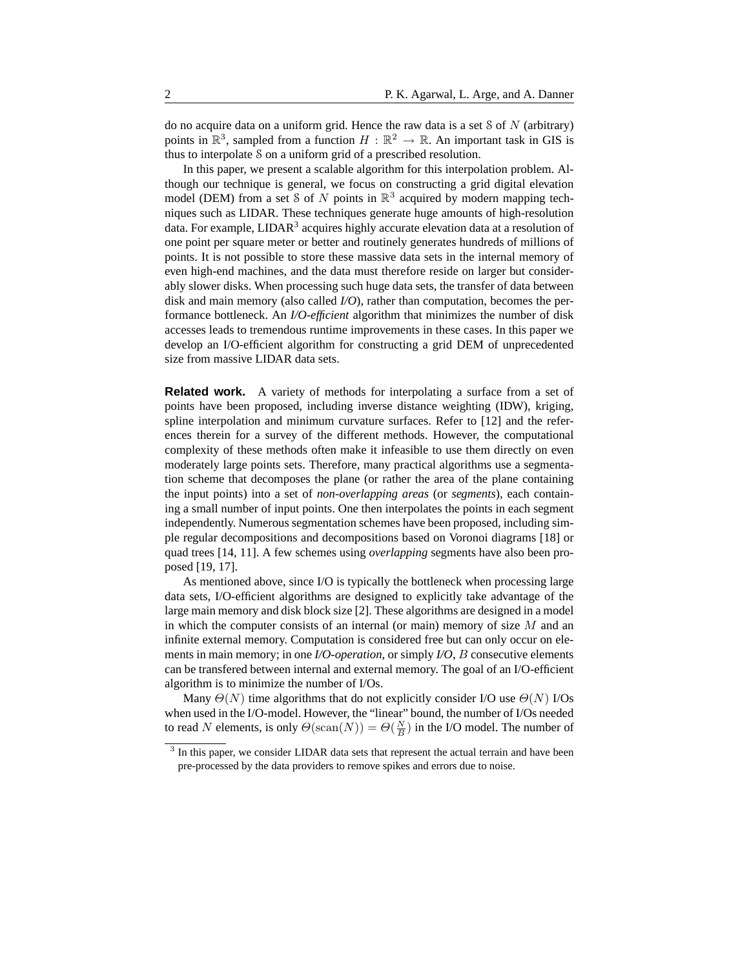do no acquire data on a uniform grid. Hence the raw data is a set  $\delta$  of N (arbitrary) points in  $\mathbb{R}^3$ , sampled from a function  $H : \mathbb{R}^2 \to \mathbb{R}$ . An important task in GIS is thus to interpolate S on a uniform grid of a prescribed resolution.

In this paper, we present a scalable algorithm for this interpolation problem. Although our technique is general, we focus on constructing a grid digital elevation model (DEM) from a set S of N points in  $\mathbb{R}^3$  acquired by modern mapping techniques such as LIDAR. These techniques generate huge amounts of high-resolution data. For example, LIDAR<sup>3</sup> acquires highly accurate elevation data at a resolution of one point per square meter or better and routinely generates hundreds of millions of points. It is not possible to store these massive data sets in the internal memory of even high-end machines, and the data must therefore reside on larger but considerably slower disks. When processing such huge data sets, the transfer of data between disk and main memory (also called *I/O*), rather than computation, becomes the performance bottleneck. An *I/O-efficient* algorithm that minimizes the number of disk accesses leads to tremendous runtime improvements in these cases. In this paper we develop an I/O-efficient algorithm for constructing a grid DEM of unprecedented size from massive LIDAR data sets.

**Related work.** A variety of methods for interpolating a surface from a set of points have been proposed, including inverse distance weighting (IDW), kriging, spline interpolation and minimum curvature surfaces. Refer to [12] and the references therein for a survey of the different methods. However, the computational complexity of these methods often make it infeasible to use them directly on even moderately large points sets. Therefore, many practical algorithms use a segmentation scheme that decomposes the plane (or rather the area of the plane containing the input points) into a set of *non-overlapping areas* (or *segments*), each containing a small number of input points. One then interpolates the points in each segment independently. Numerous segmentation schemes have been proposed, including simple regular decompositions and decompositions based on Voronoi diagrams [18] or quad trees [14, 11]. A few schemes using *overlapping* segments have also been proposed [19, 17].

As mentioned above, since I/O is typically the bottleneck when processing large data sets, I/O-efficient algorithms are designed to explicitly take advantage of the large main memory and disk block size [2]. These algorithms are designed in a model in which the computer consists of an internal (or main) memory of size  $M$  and an infinite external memory. Computation is considered free but can only occur on elements in main memory; in one *I/O-operation*, or simply *I/O*, B consecutive elements can be transfered between internal and external memory. The goal of an I/O-efficient algorithm is to minimize the number of I/Os.

Many  $\Theta(N)$  time algorithms that do not explicitly consider I/O use  $\Theta(N)$  I/Os when used in the I/O-model. However, the "linear" bound, the number of I/Os needed to read N elements, is only  $\Theta(\text{scan}(N)) = \Theta(\frac{N}{B})$  in the I/O model. The number of

<sup>&</sup>lt;sup>3</sup> In this paper, we consider LIDAR data sets that represent the actual terrain and have been pre-processed by the data providers to remove spikes and errors due to noise.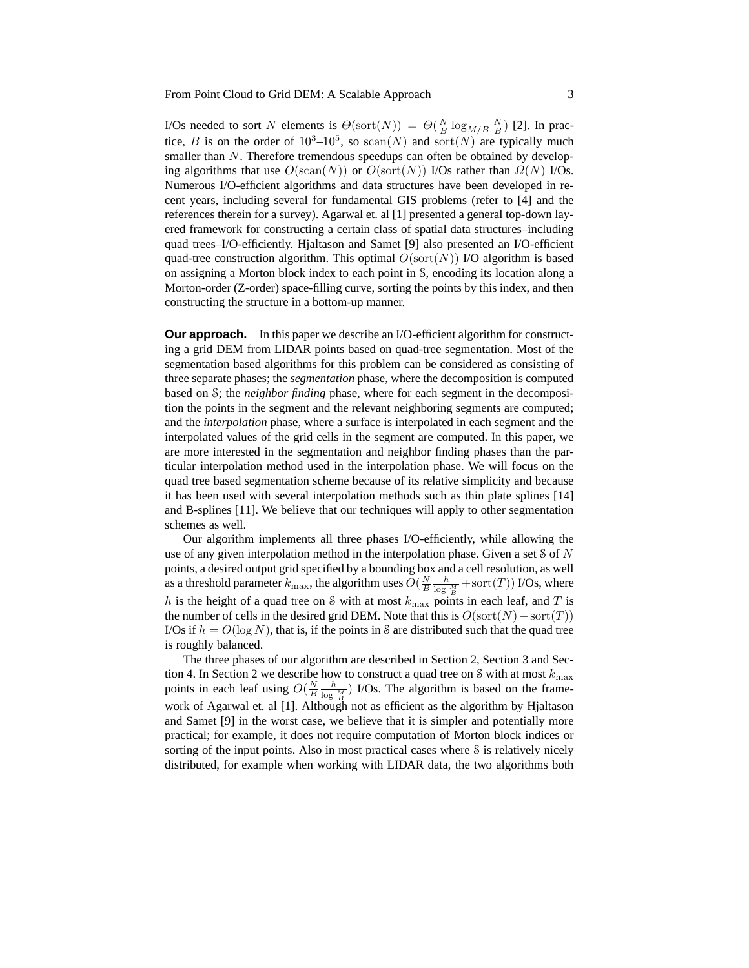I/Os needed to sort N elements is  $\Theta(\text{sort}(N)) = \Theta(\frac{N}{B} \log_{M/B} \frac{N}{B})$  [2]. In practice, B is on the order of  $10^3-10^5$ , so scan(N) and sort(N) are typically much smaller than N. Therefore tremendous speedups can often be obtained by developing algorithms that use  $O(\text{scan}(N))$  or  $O(\text{sort}(N))$  I/Os rather than  $\Omega(N)$  I/Os. Numerous I/O-efficient algorithms and data structures have been developed in recent years, including several for fundamental GIS problems (refer to [4] and the references therein for a survey). Agarwal et. al [1] presented a general top-down layered framework for constructing a certain class of spatial data structures–including quad trees–I/O-efficiently. Hjaltason and Samet [9] also presented an I/O-efficient quad-tree construction algorithm. This optimal  $O(\text{sort}(N))$  I/O algorithm is based on assigning a Morton block index to each point in S, encoding its location along a Morton-order (Z-order) space-filling curve, sorting the points by this index, and then constructing the structure in a bottom-up manner.

**Our approach.** In this paper we describe an I/O-efficient algorithm for constructing a grid DEM from LIDAR points based on quad-tree segmentation. Most of the segmentation based algorithms for this problem can be considered as consisting of three separate phases; the *segmentation* phase, where the decomposition is computed based on S; the *neighbor finding* phase, where for each segment in the decomposition the points in the segment and the relevant neighboring segments are computed; and the *interpolation* phase, where a surface is interpolated in each segment and the interpolated values of the grid cells in the segment are computed. In this paper, we are more interested in the segmentation and neighbor finding phases than the particular interpolation method used in the interpolation phase. We will focus on the quad tree based segmentation scheme because of its relative simplicity and because it has been used with several interpolation methods such as thin plate splines [14] and B-splines [11]. We believe that our techniques will apply to other segmentation schemes as well.

Our algorithm implements all three phases I/O-efficiently, while allowing the use of any given interpolation method in the interpolation phase. Given a set  $\delta$  of  $N$ points, a desired output grid specified by a bounding box and a cell resolution, as well as a threshold parameter  $k_{\max}$ , the algorithm uses  $O(\frac{N}{B}\frac{h}{\log \frac{M}{B}} + \text{sort}(T))$  I/Os, where h is the height of a quad tree on S with at most  $k_{\text{max}}$  points in each leaf, and T is the number of cells in the desired grid DEM. Note that this is  $O(\text{sort}(N) + \text{sort}(T))$ I/Os if  $h = O(\log N)$ , that is, if the points in S are distributed such that the quad tree is roughly balanced.

The three phases of our algorithm are described in Section 2, Section 3 and Section 4. In Section 2 we describe how to construct a quad tree on  $\delta$  with at most  $k_{\text{max}}$ points in each leaf using  $O(\frac{N}{B}\frac{h}{\log \frac{M}{B}})$  I/Os. The algorithm is based on the framework of Agarwal et. al [1]. Although not as efficient as the algorithm by Hjaltason and Samet [9] in the worst case, we believe that it is simpler and potentially more practical; for example, it does not require computation of Morton block indices or sorting of the input points. Also in most practical cases where S is relatively nicely distributed, for example when working with LIDAR data, the two algorithms both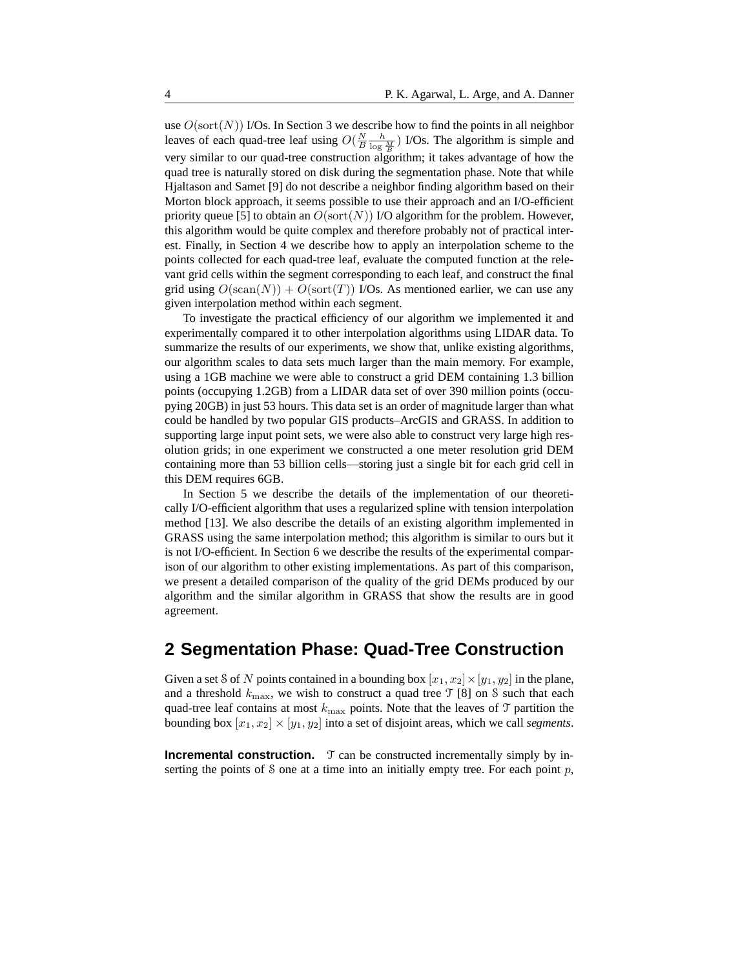use  $O(\text{sort}(N))$  I/Os. In Section 3 we describe how to find the points in all neighbor leaves of each quad-tree leaf using  $O(\frac{N}{B}\frac{h}{\log \frac{M}{B}})$  I/Os. The algorithm is simple and very similar to our quad-tree construction algorithm; it takes advantage of how the quad tree is naturally stored on disk during the segmentation phase. Note that while Hjaltason and Samet [9] do not describe a neighbor finding algorithm based on their Morton block approach, it seems possible to use their approach and an I/O-efficient priority queue [5] to obtain an  $O(\text{sort}(N))$  I/O algorithm for the problem. However, this algorithm would be quite complex and therefore probably not of practical interest. Finally, in Section 4 we describe how to apply an interpolation scheme to the points collected for each quad-tree leaf, evaluate the computed function at the relevant grid cells within the segment corresponding to each leaf, and construct the final grid using  $O(\text{scan}(N)) + O(\text{sort}(T))$  I/Os. As mentioned earlier, we can use any given interpolation method within each segment.

To investigate the practical efficiency of our algorithm we implemented it and experimentally compared it to other interpolation algorithms using LIDAR data. To summarize the results of our experiments, we show that, unlike existing algorithms, our algorithm scales to data sets much larger than the main memory. For example, using a 1GB machine we were able to construct a grid DEM containing 1.3 billion points (occupying 1.2GB) from a LIDAR data set of over 390 million points (occupying 20GB) in just 53 hours. This data set is an order of magnitude larger than what could be handled by two popular GIS products–ArcGIS and GRASS. In addition to supporting large input point sets, we were also able to construct very large high resolution grids; in one experiment we constructed a one meter resolution grid DEM containing more than 53 billion cells—storing just a single bit for each grid cell in this DEM requires 6GB.

In Section 5 we describe the details of the implementation of our theoretically I/O-efficient algorithm that uses a regularized spline with tension interpolation method [13]. We also describe the details of an existing algorithm implemented in GRASS using the same interpolation method; this algorithm is similar to ours but it is not I/O-efficient. In Section 6 we describe the results of the experimental comparison of our algorithm to other existing implementations. As part of this comparison, we present a detailed comparison of the quality of the grid DEMs produced by our algorithm and the similar algorithm in GRASS that show the results are in good agreement.

## **2 Segmentation Phase: Quad-Tree Construction**

Given a set S of N points contained in a bounding box  $[x_1, x_2] \times [y_1, y_2]$  in the plane, and a threshold  $k_{\text{max}}$ , we wish to construct a quad tree  $\mathcal{T}$  [8] on S such that each quad-tree leaf contains at most  $k_{\text{max}}$  points. Note that the leaves of T partition the bounding box  $[x_1, x_2] \times [y_1, y_2]$  into a set of disjoint areas, which we call *segments*.

**Incremental construction.** T can be constructed incrementally simply by inserting the points of S one at a time into an initially empty tree. For each point  $p$ ,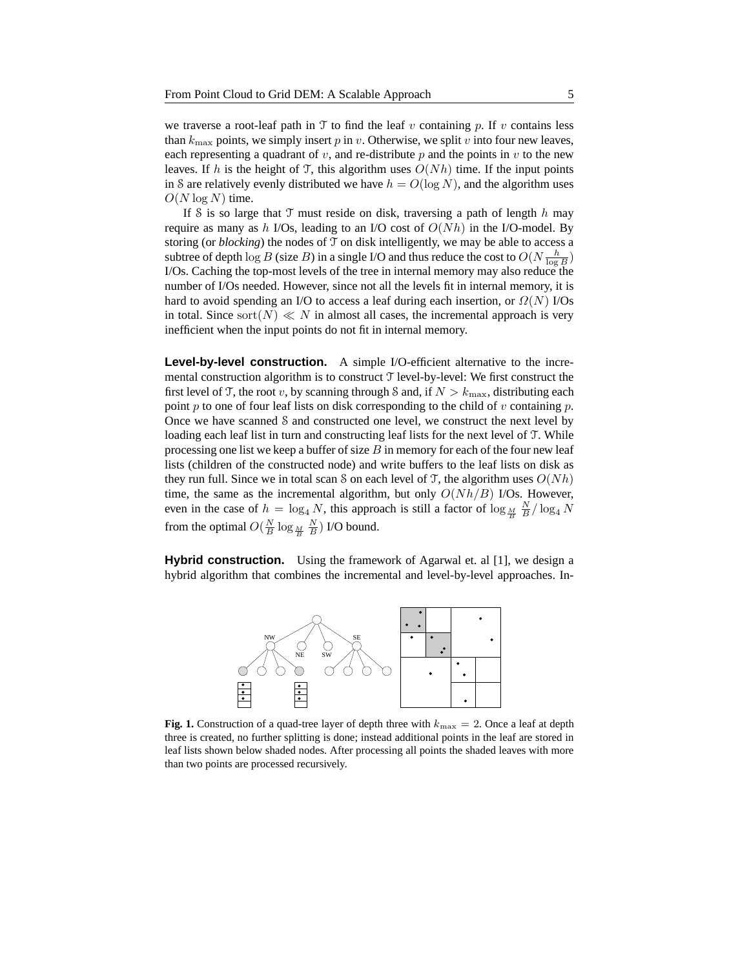we traverse a root-leaf path in  $\mathcal T$  to find the leaf v containing p. If v contains less than  $k_{\text{max}}$  points, we simply insert p in v. Otherwise, we split v into four new leaves, each representing a quadrant of  $v$ , and re-distribute  $p$  and the points in  $v$  to the new leaves. If h is the height of T, this algorithm uses  $O(Nh)$  time. If the input points in S are relatively evenly distributed we have  $h = O(\log N)$ , and the algorithm uses  $O(N \log N)$  time.

If S is so large that  $\mathcal T$  must reside on disk, traversing a path of length h may require as many as h I/Os, leading to an I/O cost of  $O(Nh)$  in the I/O-model. By storing (or  $blocking$ ) the nodes of  $\mathcal T$  on disk intelligently, we may be able to access a subtree of depth  $\log B$  (size B) in a single I/O and thus reduce the cost to  $O(N \frac{h}{\log B})$ I/Os. Caching the top-most levels of the tree in internal memory may also reduce the number of I/Os needed. However, since not all the levels fit in internal memory, it is hard to avoid spending an I/O to access a leaf during each insertion, or  $\Omega(N)$  I/Os in total. Since sort(N)  $\ll N$  in almost all cases, the incremental approach is very inefficient when the input points do not fit in internal memory.

**Level-by-level construction.** A simple I/O-efficient alternative to the incremental construction algorithm is to construct T level-by-level: We first construct the first level of T, the root v, by scanning through S and, if  $N > k_{\text{max}}$ , distributing each point p to one of four leaf lists on disk corresponding to the child of v containing p. Once we have scanned S and constructed one level, we construct the next level by loading each leaf list in turn and constructing leaf lists for the next level of T. While processing one list we keep a buffer of size  $B$  in memory for each of the four new leaf lists (children of the constructed node) and write buffers to the leaf lists on disk as they run full. Since we in total scan S on each level of T, the algorithm uses  $O(Nh)$ time, the same as the incremental algorithm, but only  $O(Nh/B)$  I/Os. However, even in the case of  $h = \log_4 N$ , this approach is still a factor of  $\log_{\frac{M}{B}} \frac{N}{B} / \log_4 N$ from the optimal  $O(\frac{N}{B} \log_{\frac{M}{B}} \frac{N}{B})$  I/O bound.

**Hybrid construction.** Using the framework of Agarwal et. al [1], we design a hybrid algorithm that combines the incremental and level-by-level approaches. In-



**Fig. 1.** Construction of a quad-tree layer of depth three with  $k_{\text{max}} = 2$ . Once a leaf at depth three is created, no further splitting is done; instead additional points in the leaf are stored in leaf lists shown below shaded nodes. After processing all points the shaded leaves with more than two points are processed recursively.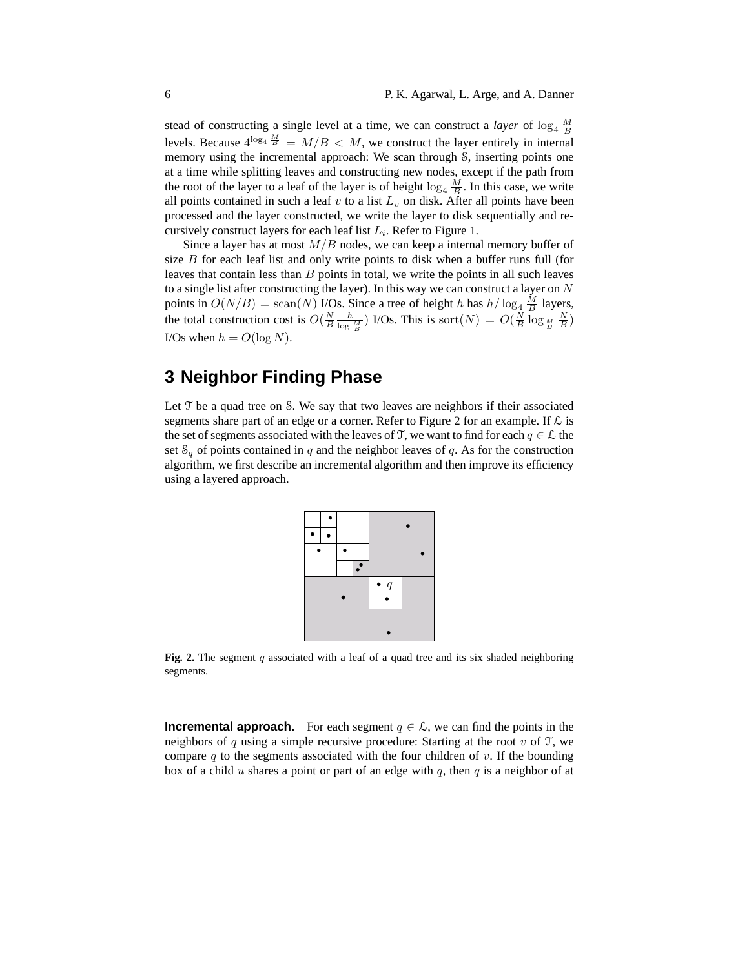stead of constructing a single level at a time, we can construct a *layer* of  $\log_4 \frac{M}{B}$ levels. Because  $4^{\log_4 \frac{M}{B}} = M/B < M$ , we construct the layer entirely in internal memory using the incremental approach: We scan through S, inserting points one at a time while splitting leaves and constructing new nodes, except if the path from the root of the layer to a leaf of the layer is of height  $\log_4 \frac{M}{B}$ . In this case, we write all points contained in such a leaf  $v$  to a list  $L_v$  on disk. After all points have been processed and the layer constructed, we write the layer to disk sequentially and recursively construct layers for each leaf list  $L_i$ . Refer to Figure 1.

Since a layer has at most  $M/B$  nodes, we can keep a internal memory buffer of size  $B$  for each leaf list and only write points to disk when a buffer runs full (for leaves that contain less than  $B$  points in total, we write the points in all such leaves to a single list after constructing the layer). In this way we can construct a layer on  $N$ points in  $O(N/B) = \text{scan}(N)$  I/Os. Since a tree of height h has  $h/\log_4 \frac{M}{B}$  layers, the total construction cost is  $O(\frac{N}{B}\frac{h}{\log \frac{M}{B}})$  I/Os. This is sort $(N) = O(\frac{N}{B}\log_{\frac{M}{B}}\frac{N}{B})$ I/Os when  $h = O(\log N)$ .

## **3 Neighbor Finding Phase**

Let  $\mathcal T$  be a quad tree on S. We say that two leaves are neighbors if their associated segments share part of an edge or a corner. Refer to Figure 2 for an example. If  $\mathcal L$  is the set of segments associated with the leaves of T, we want to find for each  $q \in \mathcal{L}$  the set  $S_q$  of points contained in q and the neighbor leaves of q. As for the construction algorithm, we first describe an incremental algorithm and then improve its efficiency using a layered approach.



**Fig. 2.** The segment q associated with a leaf of a quad tree and its six shaded neighboring segments.

**Incremental approach.** For each segment  $q \in \mathcal{L}$ , we can find the points in the neighbors of q using a simple recursive procedure: Starting at the root v of  $\mathcal T$ , we compare  $q$  to the segments associated with the four children of  $v$ . If the bounding box of a child u shares a point or part of an edge with q, then q is a neighbor of at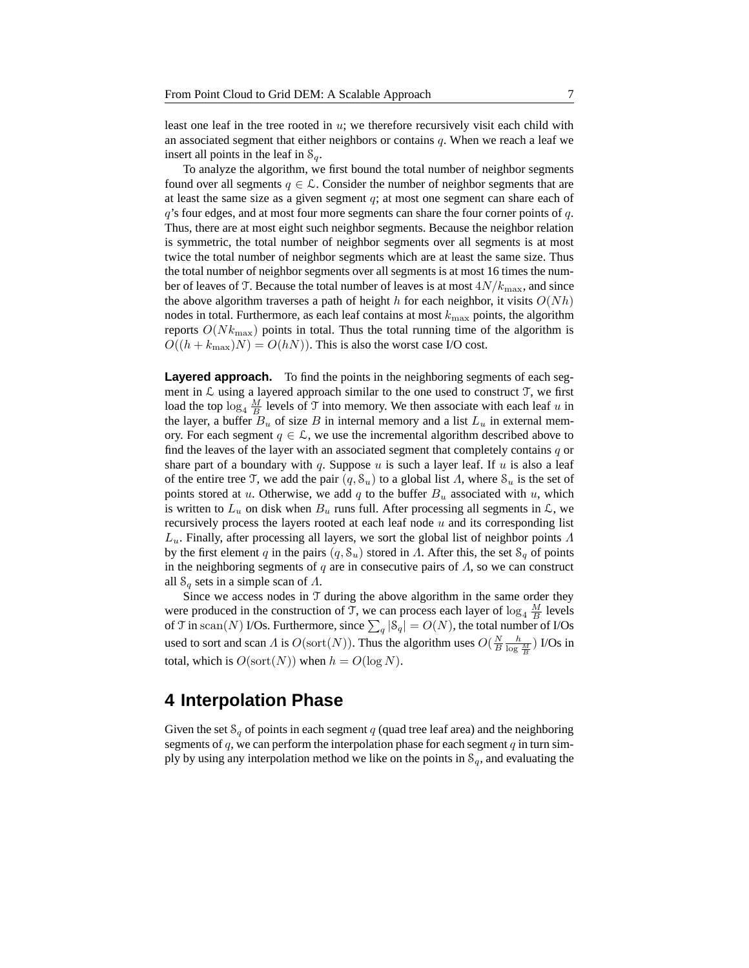least one leaf in the tree rooted in  $u$ ; we therefore recursively visit each child with an associated segment that either neighbors or contains  $q$ . When we reach a leaf we insert all points in the leaf in  $S_q$ .

To analyze the algorithm, we first bound the total number of neighbor segments found over all segments  $q \in \mathcal{L}$ . Consider the number of neighbor segments that are at least the same size as a given segment  $q$ ; at most one segment can share each of  $q$ 's four edges, and at most four more segments can share the four corner points of  $q$ . Thus, there are at most eight such neighbor segments. Because the neighbor relation is symmetric, the total number of neighbor segments over all segments is at most twice the total number of neighbor segments which are at least the same size. Thus the total number of neighbor segments over all segments is at most 16 times the number of leaves of T. Because the total number of leaves is at most  $4N/k_{\text{max}}$ , and since the above algorithm traverses a path of height  $h$  for each neighbor, it visits  $O(Nh)$ nodes in total. Furthermore, as each leaf contains at most  $k_{\text{max}}$  points, the algorithm reports  $O(Nk_{\text{max}})$  points in total. Thus the total running time of the algorithm is  $O((h + k_{\text{max}})N) = O(hN)$ . This is also the worst case I/O cost.

**Layered approach.** To find the points in the neighboring segments of each segment in  $\mathcal L$  using a layered approach similar to the one used to construct  $\mathcal T$ , we first load the top  $\log_4 \frac{M}{B}$  levels of T into memory. We then associate with each leaf u in the layer, a buffer  $B_u$  of size B in internal memory and a list  $L_u$  in external memory. For each segment  $q \in \mathcal{L}$ , we use the incremental algorithm described above to find the leaves of the layer with an associated segment that completely contains  $q$  or share part of a boundary with q. Suppose  $u$  is such a layer leaf. If  $u$  is also a leaf of the entire tree T, we add the pair  $(q, S_u)$  to a global list  $\Lambda$ , where  $S_u$  is the set of points stored at u. Otherwise, we add q to the buffer  $B_u$  associated with u, which is written to  $L_u$  on disk when  $B_u$  runs full. After processing all segments in  $\mathcal{L}$ , we recursively process the layers rooted at each leaf node  $u$  and its corresponding list  $L_u$ . Finally, after processing all layers, we sort the global list of neighbor points  $\Lambda$ by the first element q in the pairs  $(q, \mathcal{S}_u)$  stored in  $\Lambda$ . After this, the set  $\mathcal{S}_q$  of points in the neighboring segments of q are in consecutive pairs of  $\Lambda$ , so we can construct all  $S_q$  sets in a simple scan of  $\Lambda$ .

Since we access nodes in  $T$  during the above algorithm in the same order they were produced in the construction of T, we can process each layer of  $\log_4 \frac{M}{B}$  levels of T in scan(N) I/Os. Furthermore, since  $\sum_{q} |S_q| = O(N)$ , the total number of I/Os used to sort and scan  $\Lambda$  is  $O(\text{sort}(N))$ . Thus the algorithm uses  $O(\frac{N}{B}\frac{h}{\log \frac{M}{B}})$  I/Os in total, which is  $O(\text{sort}(N))$  when  $h = O(\log N)$ .

#### **4 Interpolation Phase**

Given the set  $S_q$  of points in each segment q (quad tree leaf area) and the neighboring segments of  $q$ , we can perform the interpolation phase for each segment  $q$  in turn simply by using any interpolation method we like on the points in  $S_q$ , and evaluating the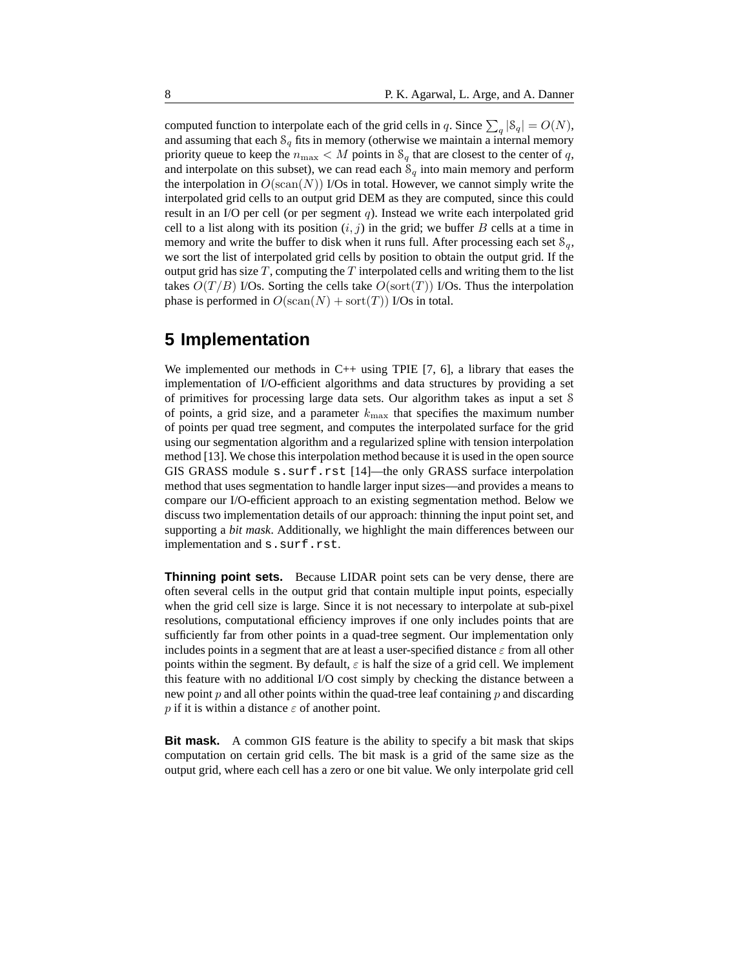computed function to interpolate each of the grid cells in q. Since  $\sum_{q} |S_q| = O(N)$ , and assuming that each  $S_q$  fits in memory (otherwise we maintain a internal memory priority queue to keep the  $n_{\text{max}} < M$  points in  $\mathcal{S}_q$  that are closest to the center of q, and interpolate on this subset), we can read each  $S<sub>q</sub>$  into main memory and perform the interpolation in  $O(\text{scan}(N))$  I/Os in total. However, we cannot simply write the interpolated grid cells to an output grid DEM as they are computed, since this could result in an I/O per cell (or per segment  $q$ ). Instead we write each interpolated grid cell to a list along with its position  $(i, j)$  in the grid; we buffer B cells at a time in memory and write the buffer to disk when it runs full. After processing each set  $\mathcal{S}_q$ , we sort the list of interpolated grid cells by position to obtain the output grid. If the output grid has size  $T$ , computing the  $T$  interpolated cells and writing them to the list takes  $O(T/B)$  I/Os. Sorting the cells take  $O(\text{sort}(T))$  I/Os. Thus the interpolation phase is performed in  $O(\text{scan}(N) + \text{sort}(T))$  I/Os in total.

#### **5 Implementation**

We implemented our methods in  $C++$  using TPIE [7, 6], a library that eases the implementation of I/O-efficient algorithms and data structures by providing a set of primitives for processing large data sets. Our algorithm takes as input a set S of points, a grid size, and a parameter  $k_{\text{max}}$  that specifies the maximum number of points per quad tree segment, and computes the interpolated surface for the grid using our segmentation algorithm and a regularized spline with tension interpolation method [13]. We chose this interpolation method because it is used in the open source GIS GRASS module s.surf.rst [14]—the only GRASS surface interpolation method that uses segmentation to handle larger input sizes—and provides a means to compare our I/O-efficient approach to an existing segmentation method. Below we discuss two implementation details of our approach: thinning the input point set, and supporting a *bit mask*. Additionally, we highlight the main differences between our implementation and s.surf.rst.

**Thinning point sets.** Because LIDAR point sets can be very dense, there are often several cells in the output grid that contain multiple input points, especially when the grid cell size is large. Since it is not necessary to interpolate at sub-pixel resolutions, computational efficiency improves if one only includes points that are sufficiently far from other points in a quad-tree segment. Our implementation only includes points in a segment that are at least a user-specified distance  $\varepsilon$  from all other points within the segment. By default,  $\varepsilon$  is half the size of a grid cell. We implement this feature with no additional I/O cost simply by checking the distance between a new point  $p$  and all other points within the quad-tree leaf containing  $p$  and discarding p if it is within a distance  $\varepsilon$  of another point.

**Bit mask.** A common GIS feature is the ability to specify a bit mask that skips computation on certain grid cells. The bit mask is a grid of the same size as the output grid, where each cell has a zero or one bit value. We only interpolate grid cell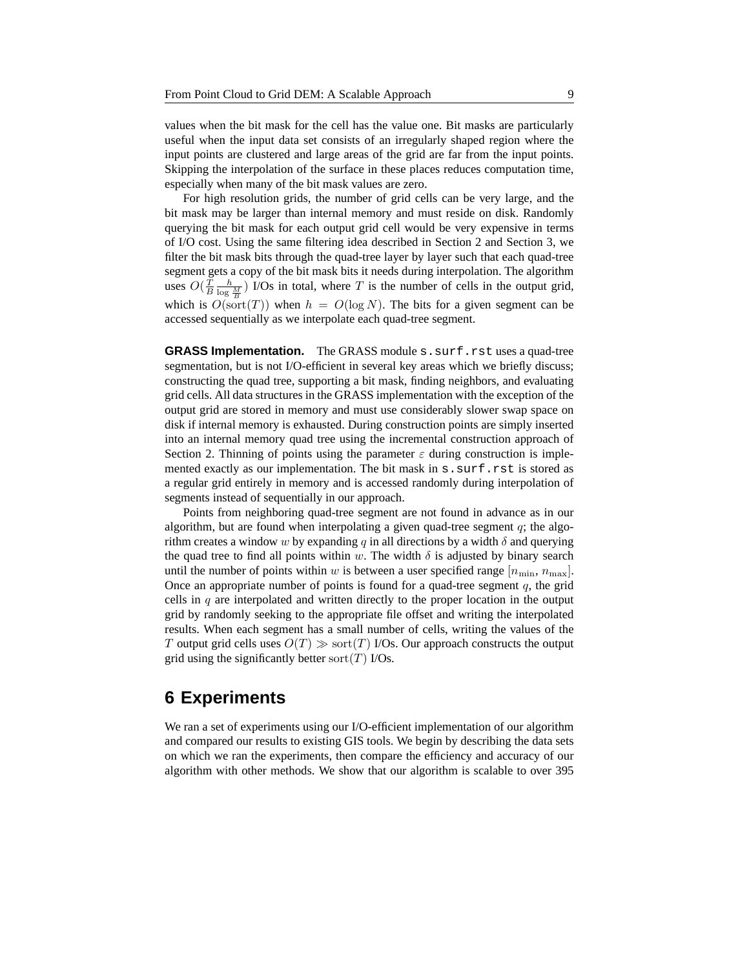values when the bit mask for the cell has the value one. Bit masks are particularly useful when the input data set consists of an irregularly shaped region where the input points are clustered and large areas of the grid are far from the input points. Skipping the interpolation of the surface in these places reduces computation time, especially when many of the bit mask values are zero.

For high resolution grids, the number of grid cells can be very large, and the bit mask may be larger than internal memory and must reside on disk. Randomly querying the bit mask for each output grid cell would be very expensive in terms of I/O cost. Using the same filtering idea described in Section 2 and Section 3, we filter the bit mask bits through the quad-tree layer by layer such that each quad-tree segment gets a copy of the bit mask bits it needs during interpolation. The algorithm uses  $O(\frac{T}{B} \frac{h}{\log \frac{M}{B}})$  I/Os in total, where T is the number of cells in the output grid, which is  $O(\text{sort}(T))$  when  $h = O(\log N)$ . The bits for a given segment can be accessed sequentially as we interpolate each quad-tree segment.

**GRASS Implementation.** The GRASS module s. surf.rst uses a quad-tree segmentation, but is not I/O-efficient in several key areas which we briefly discuss; constructing the quad tree, supporting a bit mask, finding neighbors, and evaluating grid cells. All data structures in the GRASS implementation with the exception of the output grid are stored in memory and must use considerably slower swap space on disk if internal memory is exhausted. During construction points are simply inserted into an internal memory quad tree using the incremental construction approach of Section 2. Thinning of points using the parameter  $\varepsilon$  during construction is implemented exactly as our implementation. The bit mask in s. surf.rst is stored as a regular grid entirely in memory and is accessed randomly during interpolation of segments instead of sequentially in our approach.

Points from neighboring quad-tree segment are not found in advance as in our algorithm, but are found when interpolating a given quad-tree segment  $q$ ; the algorithm creates a window w by expanding q in all directions by a width  $\delta$  and querying the quad tree to find all points within w. The width  $\delta$  is adjusted by binary search until the number of points within w is between a user specified range  $[n_{\min}, n_{\max}]$ . Once an appropriate number of points is found for a quad-tree segment  $q$ , the grid cells in  $q$  are interpolated and written directly to the proper location in the output grid by randomly seeking to the appropriate file offset and writing the interpolated results. When each segment has a small number of cells, writing the values of the T output grid cells uses  $O(T) \gg$  sort $(T)$  I/Os. Our approach constructs the output grid using the significantly better sort $(T)$  I/Os.

#### **6 Experiments**

We ran a set of experiments using our I/O-efficient implementation of our algorithm and compared our results to existing GIS tools. We begin by describing the data sets on which we ran the experiments, then compare the efficiency and accuracy of our algorithm with other methods. We show that our algorithm is scalable to over 395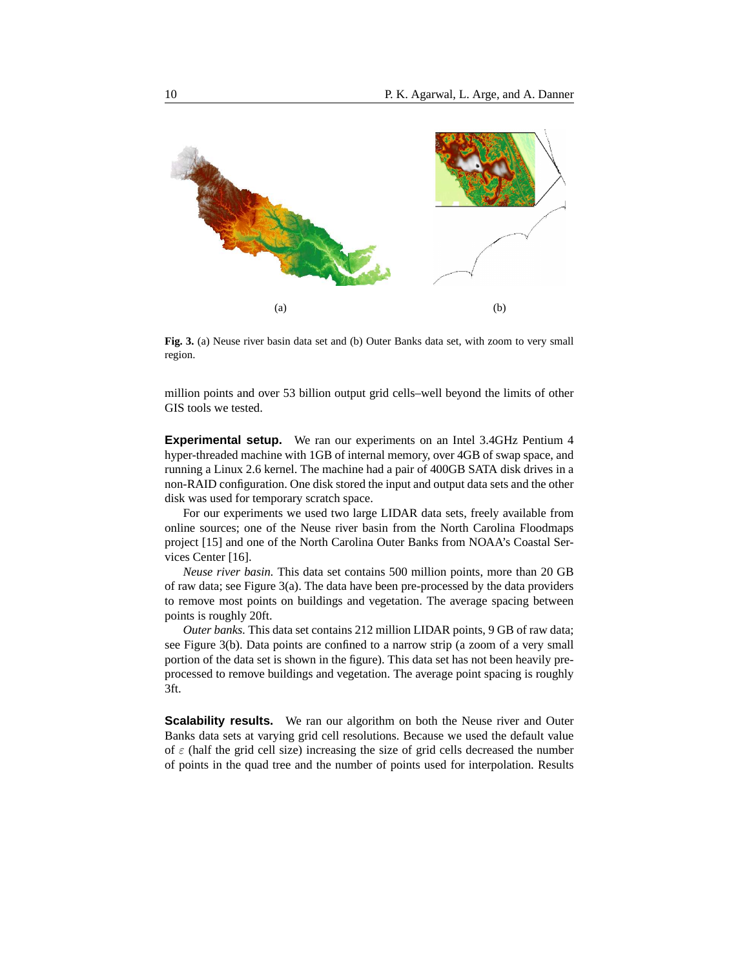

**Fig. 3.** (a) Neuse river basin data set and (b) Outer Banks data set, with zoom to very small region.

million points and over 53 billion output grid cells–well beyond the limits of other GIS tools we tested.

**Experimental setup.** We ran our experiments on an Intel 3.4GHz Pentium 4 hyper-threaded machine with 1GB of internal memory, over 4GB of swap space, and running a Linux 2.6 kernel. The machine had a pair of 400GB SATA disk drives in a non-RAID configuration. One disk stored the input and output data sets and the other disk was used for temporary scratch space.

For our experiments we used two large LIDAR data sets, freely available from online sources; one of the Neuse river basin from the North Carolina Floodmaps project [15] and one of the North Carolina Outer Banks from NOAA's Coastal Services Center [16].

*Neuse river basin.* This data set contains 500 million points, more than 20 GB of raw data; see Figure 3(a). The data have been pre-processed by the data providers to remove most points on buildings and vegetation. The average spacing between points is roughly 20ft.

*Outer banks.* This data set contains 212 million LIDAR points, 9 GB of raw data; see Figure 3(b). Data points are confined to a narrow strip (a zoom of a very small portion of the data set is shown in the figure). This data set has not been heavily preprocessed to remove buildings and vegetation. The average point spacing is roughly 3ft.

**Scalability results.** We ran our algorithm on both the Neuse river and Outer Banks data sets at varying grid cell resolutions. Because we used the default value of  $\varepsilon$  (half the grid cell size) increasing the size of grid cells decreased the number of points in the quad tree and the number of points used for interpolation. Results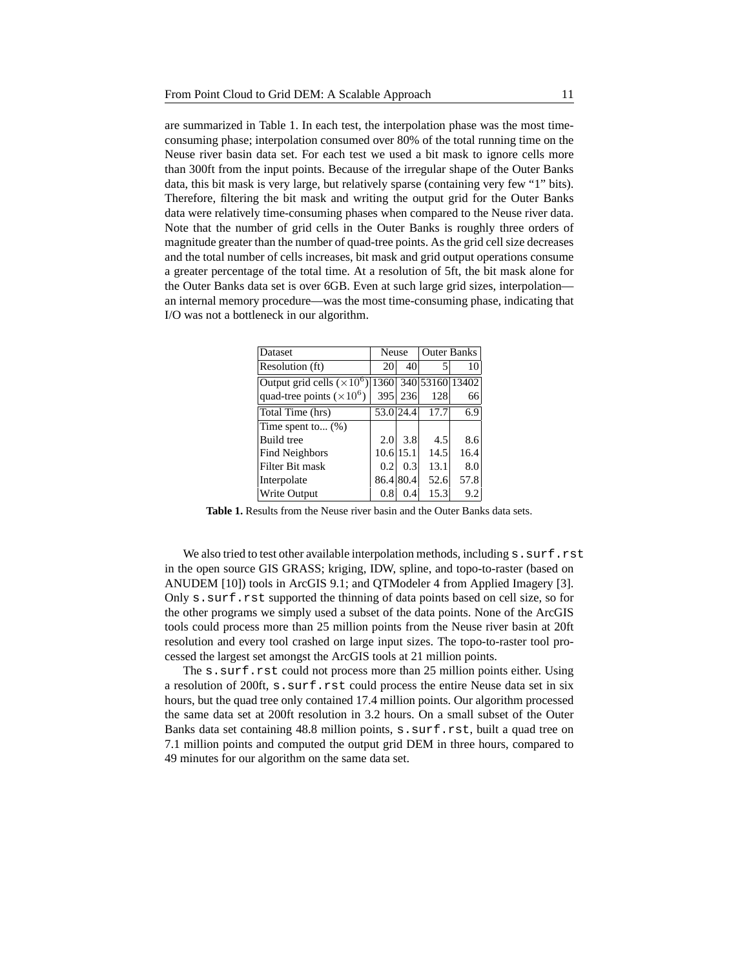are summarized in Table 1. In each test, the interpolation phase was the most timeconsuming phase; interpolation consumed over 80% of the total running time on the Neuse river basin data set. For each test we used a bit mask to ignore cells more than 300ft from the input points. Because of the irregular shape of the Outer Banks data, this bit mask is very large, but relatively sparse (containing very few "1" bits). Therefore, filtering the bit mask and writing the output grid for the Outer Banks data were relatively time-consuming phases when compared to the Neuse river data. Note that the number of grid cells in the Outer Banks is roughly three orders of magnitude greater than the number of quad-tree points. Asthe grid cell size decreases and the total number of cells increases, bit mask and grid output operations consume a greater percentage of the total time. At a resolution of 5ft, the bit mask alone for the Outer Banks data set is over 6GB. Even at such large grid sizes, interpolation an internal memory procedure—was the most time-consuming phase, indicating that I/O was not a bottleneck in our algorithm.

| Dataset                                      | <b>Neuse</b> |           | <b>Outer Banks</b>   |      |
|----------------------------------------------|--------------|-----------|----------------------|------|
| Resolution (ft)                              | 20           | 40        | 5                    | 10   |
| Output grid cells $(\overline{\times 10^6})$ |              |           | 1360 340 53160 13402 |      |
| quad-tree points $(\times 10^6)$             | 395          | 236       | 128                  | 66   |
| Total Time (hrs)                             |              | 53.0 24.4 | 17.7                 | 6.9  |
| Time spent to $(\%)$                         |              |           |                      |      |
| Build tree                                   | 2.0          | 3.8       | 4.5                  | 8.6  |
| <b>Find Neighbors</b>                        |              | 10.6 15.1 | 14.5                 | 16.4 |
| Filter Bit mask                              | 0.2          | 0.3       | 13.1                 | 8.0  |
| Interpolate                                  |              | 86.4 80.4 | 52.6                 | 57.8 |
| <b>Write Output</b>                          | 0.8          | 0.4       | 15.3                 | 9.2  |

**Table 1.** Results from the Neuse river basin and the Outer Banks data sets.

We also tried to test other available interpolation methods, including  $s$ .  $\text{surf}$ .  $\text{rst}$ in the open source GIS GRASS; kriging, IDW, spline, and topo-to-raster (based on ANUDEM [10]) tools in ArcGIS 9.1; and QTModeler 4 from Applied Imagery [3]. Only s. surf.rst supported the thinning of data points based on cell size, so for the other programs we simply used a subset of the data points. None of the ArcGIS tools could process more than 25 million points from the Neuse river basin at 20ft resolution and every tool crashed on large input sizes. The topo-to-raster tool processed the largest set amongst the ArcGIS tools at 21 million points.

The s. surf.rst could not process more than 25 million points either. Using a resolution of 200ft, s. surf.rst could process the entire Neuse data set in six hours, but the quad tree only contained 17.4 million points. Our algorithm processed the same data set at 200ft resolution in 3.2 hours. On a small subset of the Outer Banks data set containing 48.8 million points, s. surf.rst, built a quad tree on 7.1 million points and computed the output grid DEM in three hours, compared to 49 minutes for our algorithm on the same data set.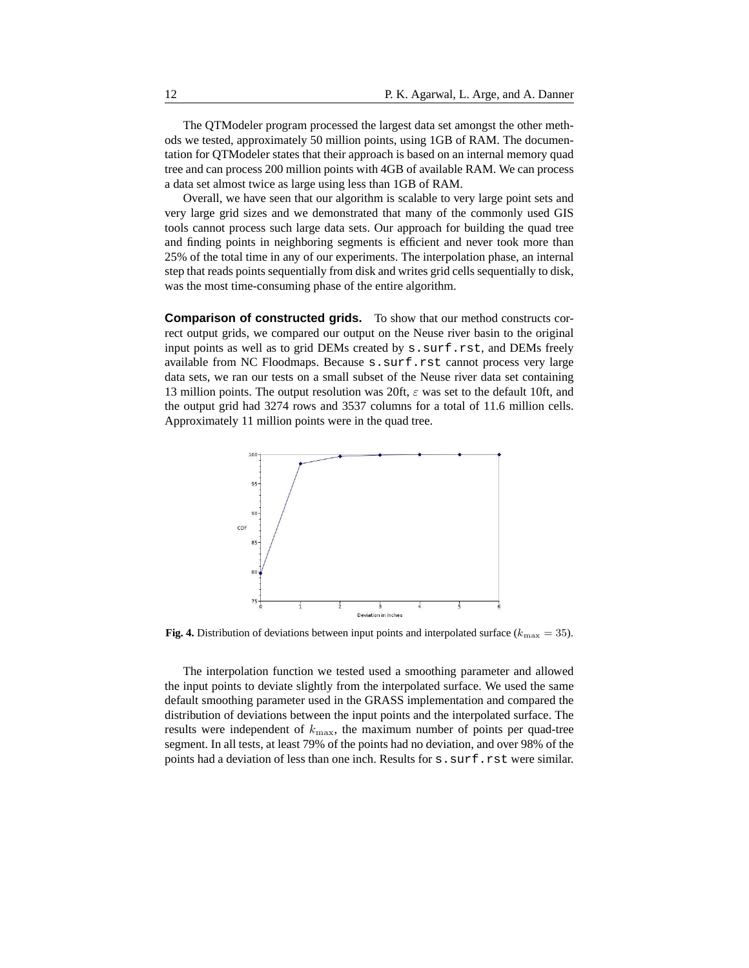The QTModeler program processed the largest data set amongst the other methods we tested, approximately 50 million points, using 1GB of RAM. The documentation for QTModeler states that their approach is based on an internal memory quad tree and can process 200 million points with 4GB of available RAM. We can process a data set almost twice as large using less than 1GB of RAM.

Overall, we have seen that our algorithm is scalable to very large point sets and very large grid sizes and we demonstrated that many of the commonly used GIS tools cannot process such large data sets. Our approach for building the quad tree and finding points in neighboring segments is efficient and never took more than 25% of the total time in any of our experiments. The interpolation phase, an internal step that reads points sequentially from disk and writes grid cells sequentially to disk, was the most time-consuming phase of the entire algorithm.

**Comparison of constructed grids.** To show that our method constructs correct output grids, we compared our output on the Neuse river basin to the original input points as well as to grid DEMs created by s.surf.rst, and DEMs freely available from NC Floodmaps. Because s.surf.rst cannot process very large data sets, we ran our tests on a small subset of the Neuse river data set containing 13 million points. The output resolution was 20ft,  $\varepsilon$  was set to the default 10ft, and the output grid had 3274 rows and 3537 columns for a total of 11.6 million cells. Approximately 11 million points were in the quad tree.



**Fig. 4.** Distribution of deviations between input points and interpolated surface ( $k_{\text{max}} = 35$ ).

The interpolation function we tested used a smoothing parameter and allowed the input points to deviate slightly from the interpolated surface. We used the same default smoothing parameter used in the GRASS implementation and compared the distribution of deviations between the input points and the interpolated surface. The results were independent of  $k_{\text{max}}$ , the maximum number of points per quad-tree segment. In all tests, at least 79% of the points had no deviation, and over 98% of the points had a deviation of less than one inch. Results for  $s$ . surf.rst were similar.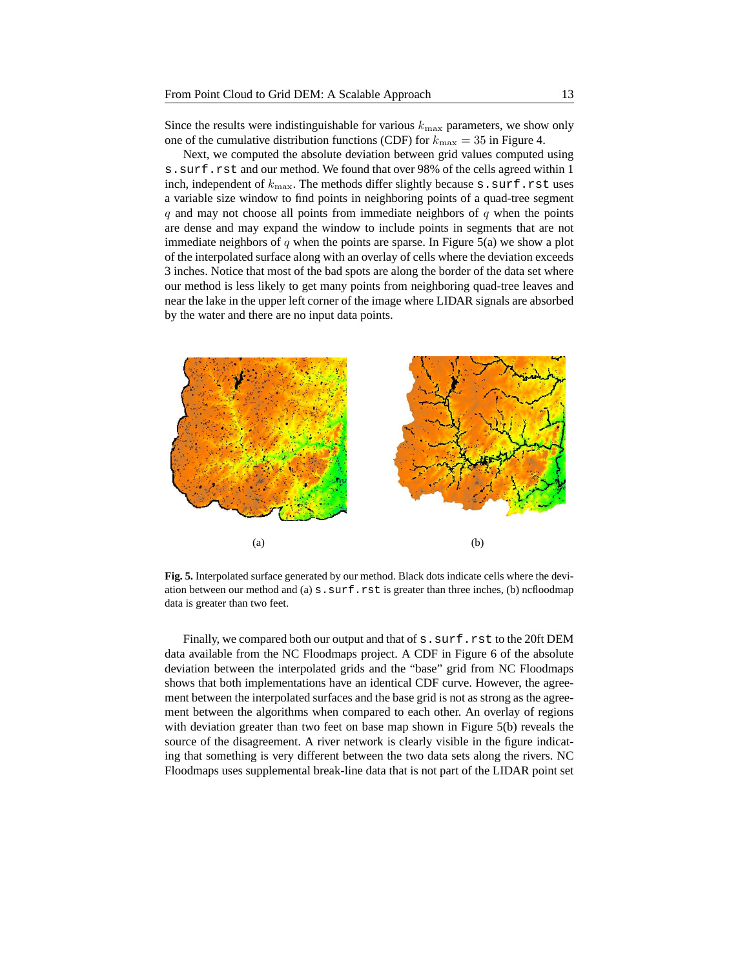Since the results were indistinguishable for various  $k_{\text{max}}$  parameters, we show only one of the cumulative distribution functions (CDF) for  $k_{\text{max}} = 35$  in Figure 4.

Next, we computed the absolute deviation between grid values computed using s.surf.rst and our method. We found that over 98% of the cells agreed within 1 inch, independent of  $k_{\text{max}}$ . The methods differ slightly because s.surf.rst uses a variable size window to find points in neighboring points of a quad-tree segment  $q$  and may not choose all points from immediate neighbors of  $q$  when the points are dense and may expand the window to include points in segments that are not immediate neighbors of  $q$  when the points are sparse. In Figure 5(a) we show a plot of the interpolated surface along with an overlay of cells where the deviation exceeds 3 inches. Notice that most of the bad spots are along the border of the data set where our method is less likely to get many points from neighboring quad-tree leaves and near the lake in the upper left corner of the image where LIDAR signals are absorbed by the water and there are no input data points.



**Fig. 5.** Interpolated surface generated by our method. Black dots indicate cells where the deviation between our method and (a)  $s$ .  $\text{surf}$ . rst is greater than three inches, (b) ncfloodmap data is greater than two feet.

Finally, we compared both our output and that of s.surf.rst to the 20ft DEM data available from the NC Floodmaps project. A CDF in Figure 6 of the absolute deviation between the interpolated grids and the "base" grid from NC Floodmaps shows that both implementations have an identical CDF curve. However, the agreement between the interpolated surfaces and the base grid is not as strong as the agreement between the algorithms when compared to each other. An overlay of regions with deviation greater than two feet on base map shown in Figure 5(b) reveals the source of the disagreement. A river network is clearly visible in the figure indicating that something is very different between the two data sets along the rivers. NC Floodmaps uses supplemental break-line data that is not part of the LIDAR point set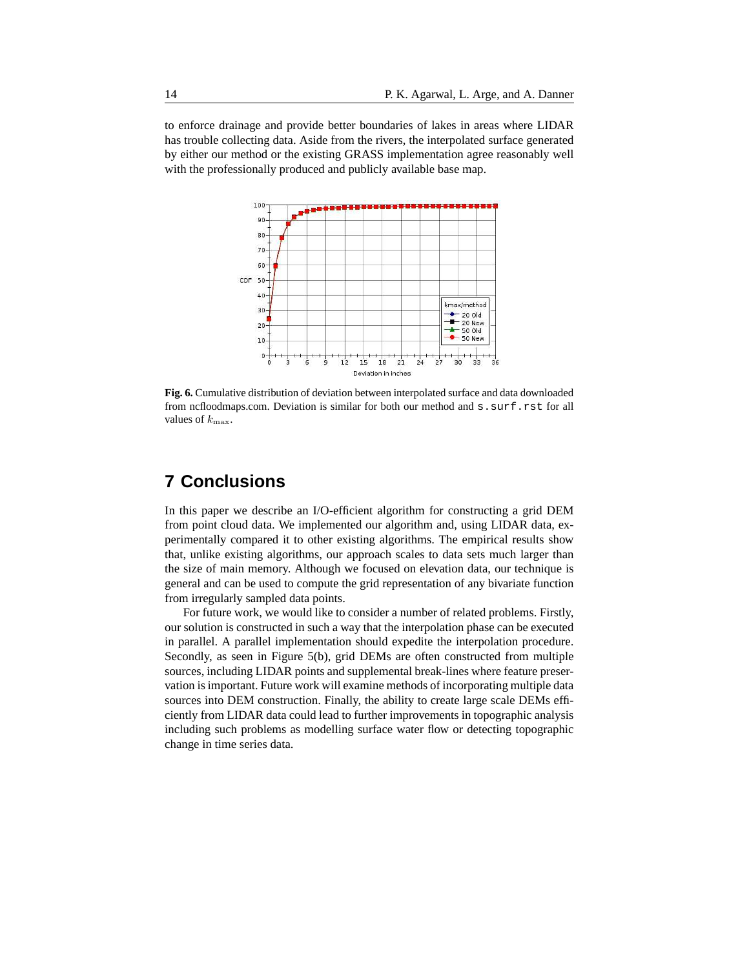to enforce drainage and provide better boundaries of lakes in areas where LIDAR has trouble collecting data. Aside from the rivers, the interpolated surface generated by either our method or the existing GRASS implementation agree reasonably well with the professionally produced and publicly available base map.



**Fig. 6.** Cumulative distribution of deviation between interpolated surface and data downloaded from ncfloodmaps.com. Deviation is similar for both our method and s. surf.rst for all values of  $k_{\text{max}}$ .

## **7 Conclusions**

In this paper we describe an I/O-efficient algorithm for constructing a grid DEM from point cloud data. We implemented our algorithm and, using LIDAR data, experimentally compared it to other existing algorithms. The empirical results show that, unlike existing algorithms, our approach scales to data sets much larger than the size of main memory. Although we focused on elevation data, our technique is general and can be used to compute the grid representation of any bivariate function from irregularly sampled data points.

For future work, we would like to consider a number of related problems. Firstly, our solution is constructed in such a way that the interpolation phase can be executed in parallel. A parallel implementation should expedite the interpolation procedure. Secondly, as seen in Figure 5(b), grid DEMs are often constructed from multiple sources, including LIDAR points and supplemental break-lines where feature preservation is important. Future work will examine methods of incorporating multiple data sources into DEM construction. Finally, the ability to create large scale DEMs efficiently from LIDAR data could lead to further improvements in topographic analysis including such problems as modelling surface water flow or detecting topographic change in time series data.